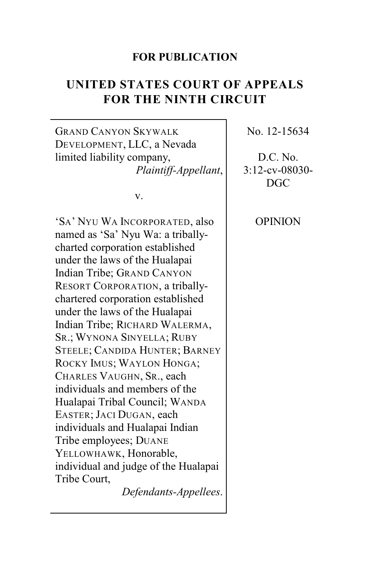## **FOR PUBLICATION**

# **UNITED STATES COURT OF APPEALS FOR THE NINTH CIRCUIT**

GRAND CANYON SKYWALK DEVELOPMENT, LLC, a Nevada limited liability company, *Plaintiff-Appellant*,

v.

'SA' NYU WA INCORPORATED, also named as 'Sa' Nyu Wa: a triballycharted corporation established under the laws of the Hualapai Indian Tribe; GRAND CANYON RESORT CORPORATION, a triballychartered corporation established under the laws of the Hualapai Indian Tribe; RICHARD WALERMA, SR.; WYNONA SINYELLA; RUBY STEELE; CANDIDA HUNTER; BARNEY ROCKY IMUS; WAYLON HONGA; CHARLES VAUGHN, SR., each individuals and members of the Hualapai Tribal Council; WANDA EASTER; JACI DUGAN, each individuals and Hualapai Indian Tribe employees; DUANE YELLOWHAWK, Honorable, individual and judge of the Hualapai Tribe Court,

*Defendants-Appellees*.

No. 12-15634

D.C. No. 3:12-cv-08030- DGC

OPINION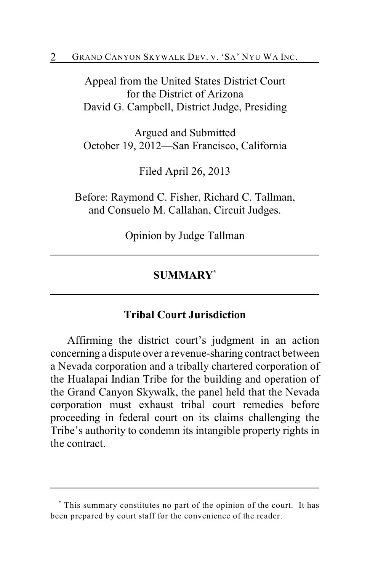Appeal from the United States District Court for the District of Arizona David G. Campbell, District Judge, Presiding

Argued and Submitted October 19, 2012—San Francisco, California

Filed April 26, 2013

Before: Raymond C. Fisher, Richard C. Tallman, and Consuelo M. Callahan, Circuit Judges.

Opinion by Judge Tallman

# **SUMMARY \***

## **Tribal Court Jurisdiction**

Affirming the district court's judgment in an action concerning a dispute over a revenue-sharing contract between a Nevada corporation and a tribally chartered corporation of the Hualapai Indian Tribe for the building and operation of the Grand Canyon Skywalk, the panel held that the Nevada corporation must exhaust tribal court remedies before proceeding in federal court on its claims challenging the Tribe's authority to condemn its intangible property rights in the contract.

This summary constitutes no part of the opinion of the court. It has **\*** been prepared by court staff for the convenience of the reader.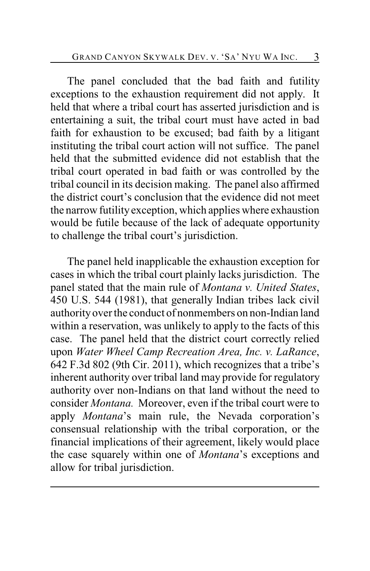The panel concluded that the bad faith and futility exceptions to the exhaustion requirement did not apply. It held that where a tribal court has asserted jurisdiction and is entertaining a suit, the tribal court must have acted in bad faith for exhaustion to be excused; bad faith by a litigant instituting the tribal court action will not suffice. The panel held that the submitted evidence did not establish that the tribal court operated in bad faith or was controlled by the tribal council in its decision making. The panel also affirmed the district court's conclusion that the evidence did not meet the narrow futility exception, which applies where exhaustion would be futile because of the lack of adequate opportunity to challenge the tribal court's jurisdiction.

The panel held inapplicable the exhaustion exception for cases in which the tribal court plainly lacks jurisdiction. The panel stated that the main rule of *Montana v. United States*, 450 U.S. 544 (1981), that generally Indian tribes lack civil authority over the conduct of nonmembers on non-Indian land within a reservation, was unlikely to apply to the facts of this case. The panel held that the district court correctly relied upon *Water Wheel Camp Recreation Area, Inc. v. LaRance*, 642 F.3d 802 (9th Cir. 2011), which recognizes that a tribe's inherent authority over tribal land may provide for regulatory authority over non-Indians on that land without the need to consider *Montana.* Moreover, even if the tribal court were to apply *Montana*'s main rule, the Nevada corporation's consensual relationship with the tribal corporation, or the financial implications of their agreement, likely would place the case squarely within one of *Montana*'s exceptions and allow for tribal jurisdiction.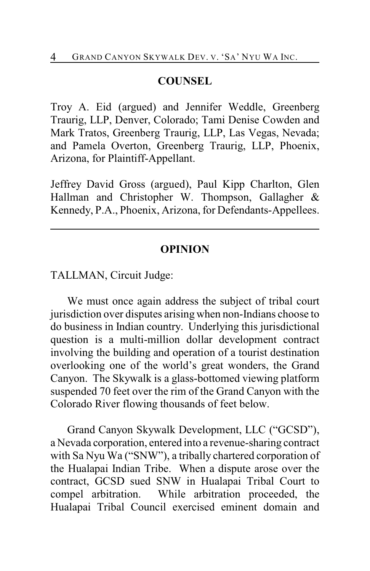## **COUNSEL**

Troy A. Eid (argued) and Jennifer Weddle, Greenberg Traurig, LLP, Denver, Colorado; Tami Denise Cowden and Mark Tratos, Greenberg Traurig, LLP, Las Vegas, Nevada; and Pamela Overton, Greenberg Traurig, LLP, Phoenix, Arizona, for Plaintiff-Appellant.

Jeffrey David Gross (argued), Paul Kipp Charlton, Glen Hallman and Christopher W. Thompson, Gallagher & Kennedy, P.A., Phoenix, Arizona, for Defendants-Appellees.

#### **OPINION**

TALLMAN, Circuit Judge:

We must once again address the subject of tribal court jurisdiction over disputes arising when non-Indians choose to do business in Indian country. Underlying this jurisdictional question is a multi-million dollar development contract involving the building and operation of a tourist destination overlooking one of the world's great wonders, the Grand Canyon. The Skywalk is a glass-bottomed viewing platform suspended 70 feet over the rim of the Grand Canyon with the Colorado River flowing thousands of feet below.

Grand Canyon Skywalk Development, LLC ("GCSD"), a Nevada corporation, entered into a revenue-sharing contract with Sa Nyu Wa ("SNW"), a tribally chartered corporation of the Hualapai Indian Tribe. When a dispute arose over the contract, GCSD sued SNW in Hualapai Tribal Court to compel arbitration. While arbitration proceeded, the Hualapai Tribal Council exercised eminent domain and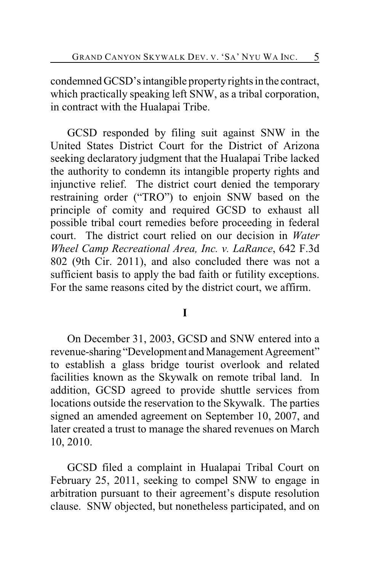condemned GCSD's intangible property rights in the contract, which practically speaking left SNW, as a tribal corporation, in contract with the Hualapai Tribe.

GCSD responded by filing suit against SNW in the United States District Court for the District of Arizona seeking declaratory judgment that the Hualapai Tribe lacked the authority to condemn its intangible property rights and injunctive relief. The district court denied the temporary restraining order ("TRO") to enjoin SNW based on the principle of comity and required GCSD to exhaust all possible tribal court remedies before proceeding in federal court. The district court relied on our decision in *Water Wheel Camp Recreational Area, Inc. v. LaRance*, 642 F.3d 802 (9th Cir. 2011), and also concluded there was not a sufficient basis to apply the bad faith or futility exceptions. For the same reasons cited by the district court, we affirm.

## **I**

On December 31, 2003, GCSD and SNW entered into a revenue-sharing "Development and Management Agreement" to establish a glass bridge tourist overlook and related facilities known as the Skywalk on remote tribal land. In addition, GCSD agreed to provide shuttle services from locations outside the reservation to the Skywalk. The parties signed an amended agreement on September 10, 2007, and later created a trust to manage the shared revenues on March 10, 2010.

GCSD filed a complaint in Hualapai Tribal Court on February 25, 2011, seeking to compel SNW to engage in arbitration pursuant to their agreement's dispute resolution clause. SNW objected, but nonetheless participated, and on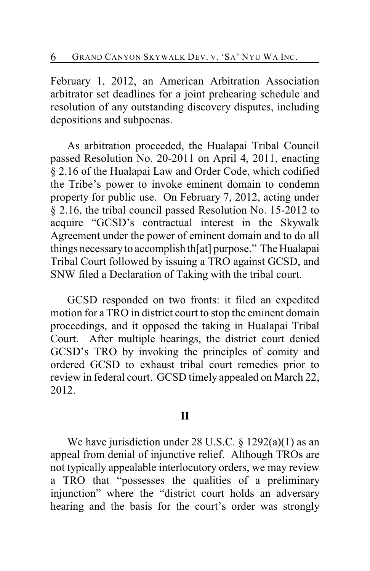February 1, 2012, an American Arbitration Association arbitrator set deadlines for a joint prehearing schedule and resolution of any outstanding discovery disputes, including depositions and subpoenas.

As arbitration proceeded, the Hualapai Tribal Council passed Resolution No. 20-2011 on April 4, 2011, enacting § 2.16 of the Hualapai Law and Order Code, which codified the Tribe's power to invoke eminent domain to condemn property for public use. On February 7, 2012, acting under § 2.16, the tribal council passed Resolution No. 15-2012 to acquire "GCSD's contractual interest in the Skywalk Agreement under the power of eminent domain and to do all things necessary to accomplish th[at] purpose." The Hualapai Tribal Court followed by issuing a TRO against GCSD, and SNW filed a Declaration of Taking with the tribal court.

GCSD responded on two fronts: it filed an expedited motion for a TRO in district court to stop the eminent domain proceedings, and it opposed the taking in Hualapai Tribal Court. After multiple hearings, the district court denied GCSD's TRO by invoking the principles of comity and ordered GCSD to exhaust tribal court remedies prior to review in federal court. GCSD timely appealed on March 22, 2012.

#### **II**

We have jurisdiction under 28 U.S.C. § 1292(a)(1) as an appeal from denial of injunctive relief. Although TROs are not typically appealable interlocutory orders, we may review a TRO that "possesses the qualities of a preliminary injunction" where the "district court holds an adversary hearing and the basis for the court's order was strongly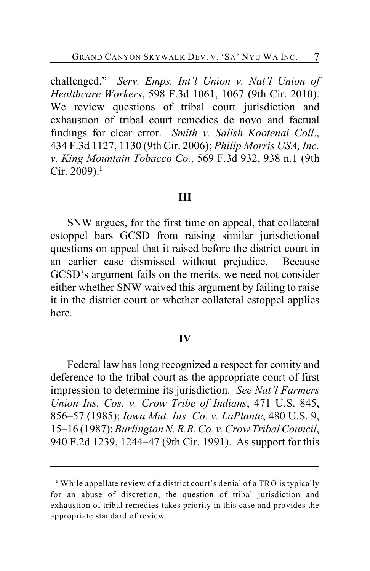challenged." *Serv. Emps. Int'l Union v. Nat'l Union of Healthcare Workers*, 598 F.3d 1061, 1067 (9th Cir. 2010). We review questions of tribal court jurisdiction and exhaustion of tribal court remedies de novo and factual findings for clear error. *Smith v. Salish Kootenai Coll*., 434 F.3d 1127, 1130 (9th Cir. 2006); *Philip Morris USA, Inc. v. King Mountain Tobacco Co.*, 569 F.3d 932, 938 n.1 (9th Cir. 2009).**<sup>1</sup>**

#### **III**

SNW argues, for the first time on appeal, that collateral estoppel bars GCSD from raising similar jurisdictional questions on appeal that it raised before the district court in an earlier case dismissed without prejudice. Because GCSD's argument fails on the merits, we need not consider either whether SNW waived this argument by failing to raise it in the district court or whether collateral estoppel applies here.

#### **IV**

Federal law has long recognized a respect for comity and deference to the tribal court as the appropriate court of first impression to determine its jurisdiction. *See Nat'l Farmers Union Ins. Cos. v. Crow Tribe of Indians*, 471 U.S. 845, 856–57 (1985); *Iowa Mut. Ins. Co. v. LaPlante*, 480 U.S. 9, 15–16 (1987);*Burlington N. R.R. Co. v. Crow Tribal Council*, 940 F.2d 1239, 1244–47 (9th Cir. 1991). As support for this

While appellate review of a district court's denial of a TRO is typically **<sup>1</sup>** for an abuse of discretion, the question of tribal jurisdiction and exhaustion of tribal remedies takes priority in this case and provides the appropriate standard of review.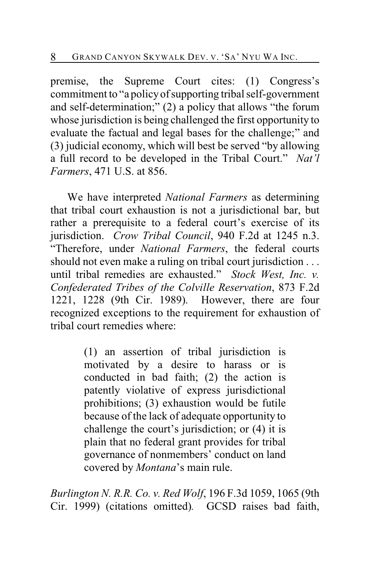premise, the Supreme Court cites: (1) Congress's commitment to "a policyof supporting tribal self-government and self-determination;" (2) a policy that allows "the forum whose jurisdiction is being challenged the first opportunity to evaluate the factual and legal bases for the challenge;" and (3) judicial economy, which will best be served "by allowing a full record to be developed in the Tribal Court." *Nat'l Farmers*, 471 U.S. at 856.

We have interpreted *National Farmers* as determining that tribal court exhaustion is not a jurisdictional bar, but rather a prerequisite to a federal court's exercise of its jurisdiction. *Crow Tribal Council*, 940 F.2d at 1245 n.3. "Therefore, under *National Farmers*, the federal courts should not even make a ruling on tribal court jurisdiction . . . until tribal remedies are exhausted." *Stock West, Inc. v. Confederated Tribes of the Colville Reservation*, 873 F.2d 1221, 1228 (9th Cir. 1989). However, there are four recognized exceptions to the requirement for exhaustion of tribal court remedies where:

> (1) an assertion of tribal jurisdiction is motivated by a desire to harass or is conducted in bad faith; (2) the action is patently violative of express jurisdictional prohibitions; (3) exhaustion would be futile because of the lack of adequate opportunity to challenge the court's jurisdiction; or (4) it is plain that no federal grant provides for tribal governance of nonmembers' conduct on land covered by *Montana*'s main rule.

*Burlington N. R.R. Co. v. Red Wolf*, 196 F.3d 1059, 1065 (9th Cir. 1999) (citations omitted)*.* GCSD raises bad faith,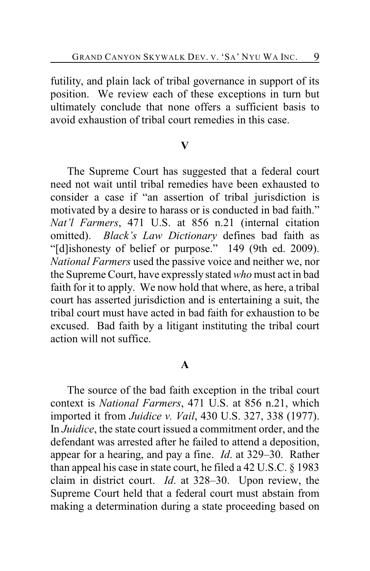futility, and plain lack of tribal governance in support of its position. We review each of these exceptions in turn but ultimately conclude that none offers a sufficient basis to avoid exhaustion of tribal court remedies in this case.

#### **V**

The Supreme Court has suggested that a federal court need not wait until tribal remedies have been exhausted to consider a case if "an assertion of tribal jurisdiction is motivated by a desire to harass or is conducted in bad faith." *Nat'l Farmers*, 471 U.S. at 856 n.21 (internal citation omitted). *Black's Law Dictionary* defines bad faith as "[d]ishonesty of belief or purpose." 149 (9th ed. 2009). *National Farmers* used the passive voice and neither we, nor the Supreme Court, have expressly stated *who* must act in bad faith for it to apply. We now hold that where, as here, a tribal court has asserted jurisdiction and is entertaining a suit, the tribal court must have acted in bad faith for exhaustion to be excused. Bad faith by a litigant instituting the tribal court action will not suffice.

## **A**

The source of the bad faith exception in the tribal court context is *National Farmers*, 471 U.S. at 856 n.21, which imported it from *Juidice v. Vail*, 430 U.S. 327, 338 (1977). In *Juidice*, the state court issued a commitment order, and the defendant was arrested after he failed to attend a deposition, appear for a hearing, and pay a fine. *Id*. at 329–30. Rather than appeal his case in state court, he filed a 42 U.S.C. § 1983 claim in district court. *Id*. at 328–30. Upon review, the Supreme Court held that a federal court must abstain from making a determination during a state proceeding based on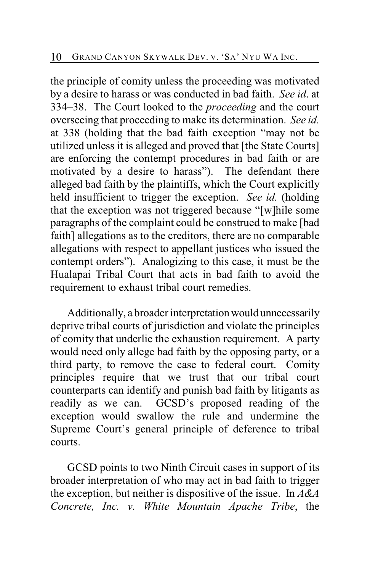the principle of comity unless the proceeding was motivated by a desire to harass or was conducted in bad faith. *See id*. at 334–38. The Court looked to the *proceeding* and the court overseeing that proceeding to make its determination. *See id.* at 338 (holding that the bad faith exception "may not be utilized unless it is alleged and proved that [the State Courts] are enforcing the contempt procedures in bad faith or are motivated by a desire to harass"). The defendant there alleged bad faith by the plaintiffs, which the Court explicitly held insufficient to trigger the exception. *See id.* (holding that the exception was not triggered because "[w]hile some paragraphs of the complaint could be construed to make [bad faith] allegations as to the creditors, there are no comparable allegations with respect to appellant justices who issued the contempt orders"). Analogizing to this case, it must be the Hualapai Tribal Court that acts in bad faith to avoid the requirement to exhaust tribal court remedies.

Additionally, a broader interpretation would unnecessarily deprive tribal courts of jurisdiction and violate the principles of comity that underlie the exhaustion requirement. A party would need only allege bad faith by the opposing party, or a third party, to remove the case to federal court. Comity principles require that we trust that our tribal court counterparts can identify and punish bad faith by litigants as readily as we can. GCSD's proposed reading of the exception would swallow the rule and undermine the Supreme Court's general principle of deference to tribal courts.

GCSD points to two Ninth Circuit cases in support of its broader interpretation of who may act in bad faith to trigger the exception, but neither is dispositive of the issue. In *A&A Concrete, Inc. v. White Mountain Apache Tribe*, the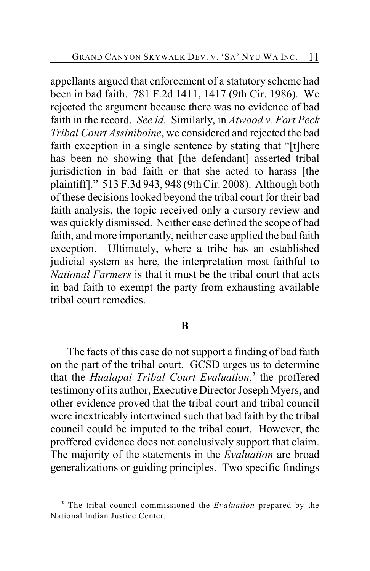appellants argued that enforcement of a statutory scheme had been in bad faith. 781 F.2d 1411, 1417 (9th Cir. 1986). We rejected the argument because there was no evidence of bad faith in the record. *See id.* Similarly, in *Atwood v. Fort Peck Tribal Court Assiniboine*, we considered and rejected the bad faith exception in a single sentence by stating that "[t]here has been no showing that [the defendant] asserted tribal jurisdiction in bad faith or that she acted to harass [the plaintiff]." 513 F.3d 943, 948 (9th Cir. 2008). Although both of these decisions looked beyond the tribal court for their bad faith analysis, the topic received only a cursory review and was quickly dismissed. Neither case defined the scope of bad faith, and more importantly, neither case applied the bad faith exception. Ultimately, where a tribe has an established judicial system as here, the interpretation most faithful to *National Farmers* is that it must be the tribal court that acts in bad faith to exempt the party from exhausting available tribal court remedies.

#### **B**

The facts of this case do not support a finding of bad faith on the part of the tribal court. GCSD urges us to determine that the *Hualapai Tribal Court Evaluation*,<sup>2</sup> the proffered testimony of its author, Executive Director Joseph Myers, and other evidence proved that the tribal court and tribal council were inextricably intertwined such that bad faith by the tribal council could be imputed to the tribal court. However, the proffered evidence does not conclusively support that claim. The majority of the statements in the *Evaluation* are broad generalizations or guiding principles. Two specific findings

The tribal council commissioned the *Evaluation* prepared by the **<sup>2</sup>** National Indian Justice Center.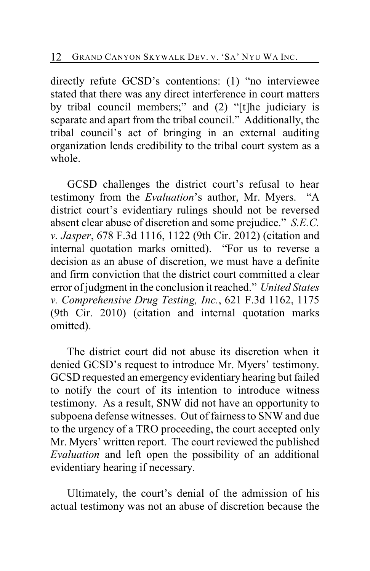directly refute GCSD's contentions: (1) "no interviewee stated that there was any direct interference in court matters by tribal council members;" and (2) "[t]he judiciary is separate and apart from the tribal council." Additionally, the tribal council's act of bringing in an external auditing organization lends credibility to the tribal court system as a whole.

GCSD challenges the district court's refusal to hear testimony from the *Evaluation*'s author, Mr. Myers. "A district court's evidentiary rulings should not be reversed absent clear abuse of discretion and some prejudice." *S.E.C. v. Jasper*, 678 F.3d 1116, 1122 (9th Cir. 2012) (citation and internal quotation marks omitted). "For us to reverse a decision as an abuse of discretion, we must have a definite and firm conviction that the district court committed a clear error of judgment in the conclusion it reached." *United States v. Comprehensive Drug Testing, Inc.*, 621 F.3d 1162, 1175 (9th Cir. 2010) (citation and internal quotation marks omitted).

The district court did not abuse its discretion when it denied GCSD's request to introduce Mr. Myers' testimony. GCSD requested an emergency evidentiary hearing but failed to notify the court of its intention to introduce witness testimony. As a result, SNW did not have an opportunity to subpoena defense witnesses. Out of fairness to SNW and due to the urgency of a TRO proceeding, the court accepted only Mr. Myers' written report. The court reviewed the published *Evaluation* and left open the possibility of an additional evidentiary hearing if necessary.

Ultimately, the court's denial of the admission of his actual testimony was not an abuse of discretion because the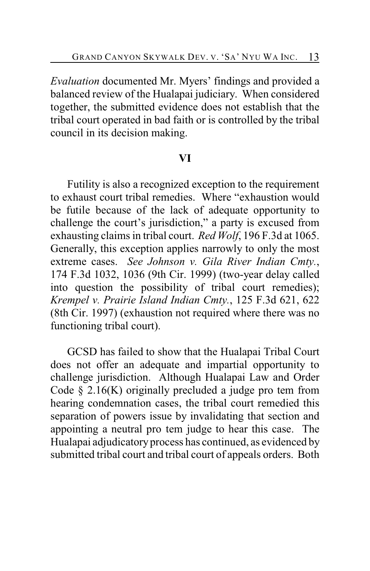*Evaluation* documented Mr. Myers' findings and provided a balanced review of the Hualapai judiciary. When considered together, the submitted evidence does not establish that the tribal court operated in bad faith or is controlled by the tribal council in its decision making.

## **VI**

Futility is also a recognized exception to the requirement to exhaust court tribal remedies. Where "exhaustion would be futile because of the lack of adequate opportunity to challenge the court's jurisdiction," a party is excused from exhausting claims in tribal court. *Red Wolf*, 196 F.3d at 1065. Generally, this exception applies narrowly to only the most extreme cases. *See Johnson v. Gila River Indian Cmty.*, 174 F.3d 1032, 1036 (9th Cir. 1999) (two-year delay called into question the possibility of tribal court remedies); *Krempel v. Prairie Island Indian Cmty.*, 125 F.3d 621, 622 (8th Cir. 1997) (exhaustion not required where there was no functioning tribal court).

GCSD has failed to show that the Hualapai Tribal Court does not offer an adequate and impartial opportunity to challenge jurisdiction. Although Hualapai Law and Order Code  $\S$  2.16(K) originally precluded a judge pro tem from hearing condemnation cases, the tribal court remedied this separation of powers issue by invalidating that section and appointing a neutral pro tem judge to hear this case. The Hualapai adjudicatory process has continued, as evidenced by submitted tribal court and tribal court of appeals orders. Both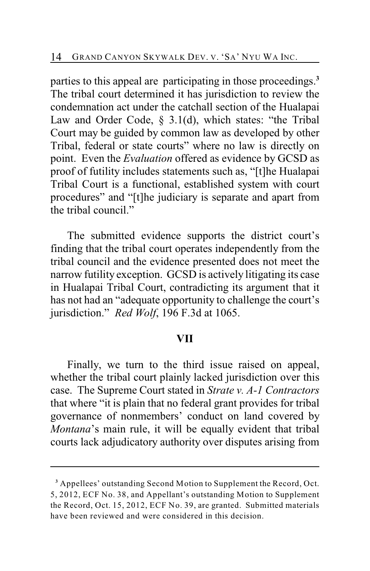parties to this appeal are participating in those proceedings.**<sup>3</sup>** The tribal court determined it has jurisdiction to review the condemnation act under the catchall section of the Hualapai Law and Order Code, § 3.1(d), which states: "the Tribal Court may be guided by common law as developed by other Tribal, federal or state courts" where no law is directly on point. Even the *Evaluation* offered as evidence by GCSD as proof of futility includes statements such as, "[t]he Hualapai Tribal Court is a functional, established system with court procedures" and "[t]he judiciary is separate and apart from the tribal council."

The submitted evidence supports the district court's finding that the tribal court operates independently from the tribal council and the evidence presented does not meet the narrow futility exception. GCSD is actively litigating its case in Hualapai Tribal Court, contradicting its argument that it has not had an "adequate opportunity to challenge the court's jurisdiction." *Red Wolf*, 196 F.3d at 1065.

#### **VII**

Finally, we turn to the third issue raised on appeal, whether the tribal court plainly lacked jurisdiction over this case. The Supreme Court stated in *Strate v. A-1 Contractors* that where "it is plain that no federal grant provides for tribal governance of nonmembers' conduct on land covered by *Montana*'s main rule, it will be equally evident that tribal courts lack adjudicatory authority over disputes arising from

Appellees' outstanding Second Motion to Supplement the Record, Oct. **<sup>3</sup>** 5, 2012, ECF No. 38, and Appellant's outstanding Motion to Supplement the Record, Oct. 15, 2012, ECF No. 39, are granted. Submitted materials have been reviewed and were considered in this decision.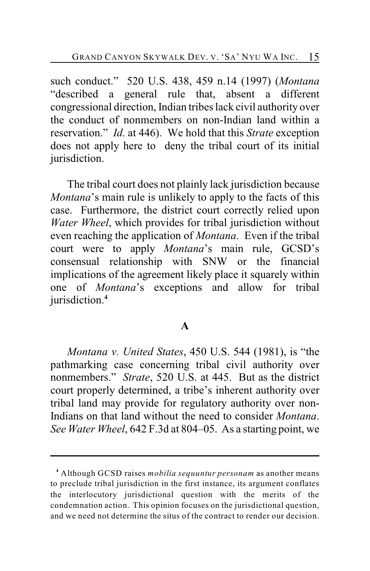such conduct." 520 U.S. 438, 459 n.14 (1997) (*Montana* "described a general rule that, absent a different congressional direction, Indian tribes lack civil authority over the conduct of nonmembers on non-Indian land within a reservation." *Id*. at 446). We hold that this *Strate* exception does not apply here to deny the tribal court of its initial jurisdiction.

The tribal court does not plainly lack jurisdiction because *Montana*'s main rule is unlikely to apply to the facts of this case. Furthermore, the district court correctly relied upon *Water Wheel*, which provides for tribal jurisdiction without even reaching the application of *Montana*. Even if the tribal court were to apply *Montana*'s main rule, GCSD's consensual relationship with SNW or the financial implications of the agreement likely place it squarely within one of *Montana*'s exceptions and allow for tribal jurisdiction.**<sup>4</sup>**

## **A**

*Montana v. United States*, 450 U.S. 544 (1981), is "the pathmarking case concerning tribal civil authority over nonmembers." *Strate*, 520 U.S. at 445. But as the district court properly determined, a tribe's inherent authority over tribal land may provide for regulatory authority over non-Indians on that land without the need to consider *Montana*. *See Water Wheel*, 642 F.3d at 804–05. As a starting point, we

Although GCSD raises *mobilia sequuntur personam* as another means **<sup>4</sup>** to preclude tribal jurisdiction in the first instance, its argument conflates the interlocutory jurisdictional question with the merits of the condemnation action. This opinion focuses on the jurisdictional question, and we need not determine the situs of the contract to render our decision.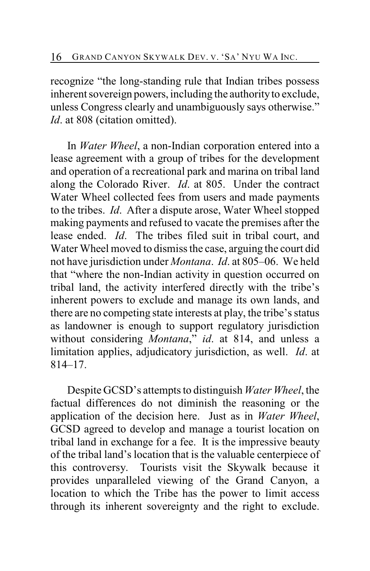recognize "the long-standing rule that Indian tribes possess inherent sovereign powers, including the authority to exclude, unless Congress clearly and unambiguously says otherwise." *Id.* at 808 (citation omitted).

In *Water Wheel*, a non-Indian corporation entered into a lease agreement with a group of tribes for the development and operation of a recreational park and marina on tribal land along the Colorado River. *Id*. at 805. Under the contract Water Wheel collected fees from users and made payments to the tribes. *Id*. After a dispute arose, Water Wheel stopped making payments and refused to vacate the premises after the lease ended. *Id*. The tribes filed suit in tribal court, and Water Wheel moved to dismiss the case, arguing the court did not have jurisdiction under *Montana*. *Id*. at 805–06. We held that "where the non-Indian activity in question occurred on tribal land, the activity interfered directly with the tribe's inherent powers to exclude and manage its own lands, and there are no competing state interests at play, the tribe's status as landowner is enough to support regulatory jurisdiction without considering *Montana*," *id*. at 814, and unless a limitation applies, adjudicatory jurisdiction, as well. *Id*. at 814–17.

Despite GCSD's attempts to distinguish *Water Wheel*, the factual differences do not diminish the reasoning or the application of the decision here. Just as in *Water Wheel*, GCSD agreed to develop and manage a tourist location on tribal land in exchange for a fee. It is the impressive beauty of the tribal land's location that is the valuable centerpiece of this controversy. Tourists visit the Skywalk because it provides unparalleled viewing of the Grand Canyon, a location to which the Tribe has the power to limit access through its inherent sovereignty and the right to exclude.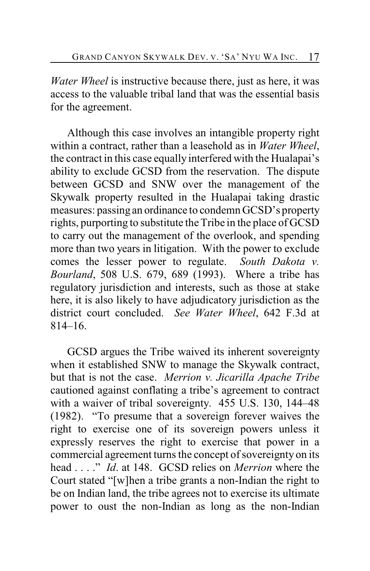*Water Wheel* is instructive because there, just as here, it was access to the valuable tribal land that was the essential basis for the agreement.

Although this case involves an intangible property right within a contract, rather than a leasehold as in *Water Wheel*, the contract in this case equally interfered with the Hualapai's ability to exclude GCSD from the reservation. The dispute between GCSD and SNW over the management of the Skywalk property resulted in the Hualapai taking drastic measures: passing an ordinance to condemn GCSD's property rights, purporting to substitute the Tribe in the place of GCSD to carry out the management of the overlook, and spending more than two years in litigation. With the power to exclude comes the lesser power to regulate. *South Dakota v. Bourland*, 508 U.S. 679, 689 (1993). Where a tribe has regulatory jurisdiction and interests, such as those at stake here, it is also likely to have adjudicatory jurisdiction as the district court concluded. *See Water Wheel*, 642 F.3d at 814–16.

GCSD argues the Tribe waived its inherent sovereignty when it established SNW to manage the Skywalk contract, but that is not the case. *Merrion v. Jicarilla Apache Tribe* cautioned against conflating a tribe's agreement to contract with a waiver of tribal sovereignty. 455 U.S. 130, 144–48 (1982). "To presume that a sovereign forever waives the right to exercise one of its sovereign powers unless it expressly reserves the right to exercise that power in a commercial agreement turns the concept of sovereignty on its head . . . ." *Id*. at 148. GCSD relies on *Merrion* where the Court stated "[w]hen a tribe grants a non-Indian the right to be on Indian land, the tribe agrees not to exercise its ultimate power to oust the non-Indian as long as the non-Indian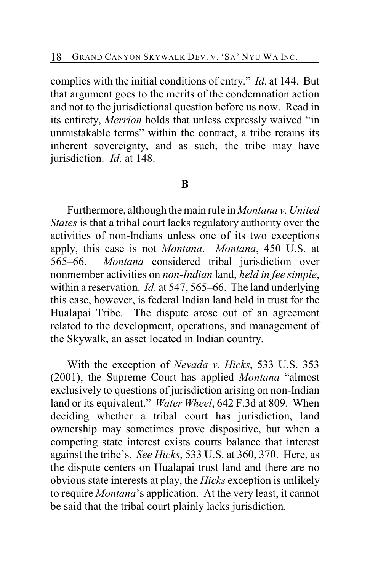complies with the initial conditions of entry." *Id*. at 144. But that argument goes to the merits of the condemnation action and not to the jurisdictional question before us now. Read in its entirety, *Merrion* holds that unless expressly waived "in unmistakable terms" within the contract, a tribe retains its inherent sovereignty, and as such, the tribe may have jurisdiction. *Id*. at 148.

## **B**

Furthermore, although the main rule in *Montana v. United States* is that a tribal court lacks regulatory authority over the activities of non-Indians unless one of its two exceptions apply, this case is not *Montana*. *Montana*, 450 U.S. at 565–66. *Montana* considered tribal jurisdiction over nonmember activities on *non-Indian* land, *held in fee simple*, within a reservation. *Id*. at 547, 565–66. The land underlying this case, however, is federal Indian land held in trust for the Hualapai Tribe. The dispute arose out of an agreement related to the development, operations, and management of the Skywalk, an asset located in Indian country.

With the exception of *Nevada v. Hicks*, 533 U.S. 353 (2001), the Supreme Court has applied *Montana* "almost exclusively to questions of jurisdiction arising on non-Indian land or its equivalent." *Water Wheel*, 642 F.3d at 809. When deciding whether a tribal court has jurisdiction, land ownership may sometimes prove dispositive, but when a competing state interest exists courts balance that interest against the tribe's. *See Hicks*, 533 U.S. at 360, 370. Here, as the dispute centers on Hualapai trust land and there are no obvious state interests at play, the *Hicks* exception is unlikely to require *Montana*'s application. At the very least, it cannot be said that the tribal court plainly lacks jurisdiction.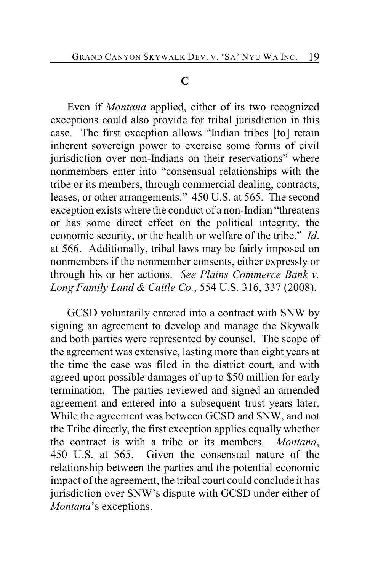## **C**

Even if *Montana* applied, either of its two recognized exceptions could also provide for tribal jurisdiction in this case. The first exception allows "Indian tribes [to] retain inherent sovereign power to exercise some forms of civil jurisdiction over non-Indians on their reservations" where nonmembers enter into "consensual relationships with the tribe or its members, through commercial dealing, contracts, leases, or other arrangements." 450 U.S. at 565. The second exception exists where the conduct of a non-Indian "threatens or has some direct effect on the political integrity, the economic security, or the health or welfare of the tribe." *Id*. at 566. Additionally, tribal laws may be fairly imposed on nonmembers if the nonmember consents, either expressly or through his or her actions. *See Plains Commerce Bank v. Long Family Land & Cattle Co.*, 554 U.S. 316, 337 (2008).

GCSD voluntarily entered into a contract with SNW by signing an agreement to develop and manage the Skywalk and both parties were represented by counsel. The scope of the agreement was extensive, lasting more than eight years at the time the case was filed in the district court, and with agreed upon possible damages of up to \$50 million for early termination. The parties reviewed and signed an amended agreement and entered into a subsequent trust years later. While the agreement was between GCSD and SNW, and not the Tribe directly, the first exception applies equally whether the contract is with a tribe or its members. *Montana*, 450 U.S. at 565. Given the consensual nature of the relationship between the parties and the potential economic impact of the agreement, the tribal court could conclude it has jurisdiction over SNW's dispute with GCSD under either of *Montana*'s exceptions.